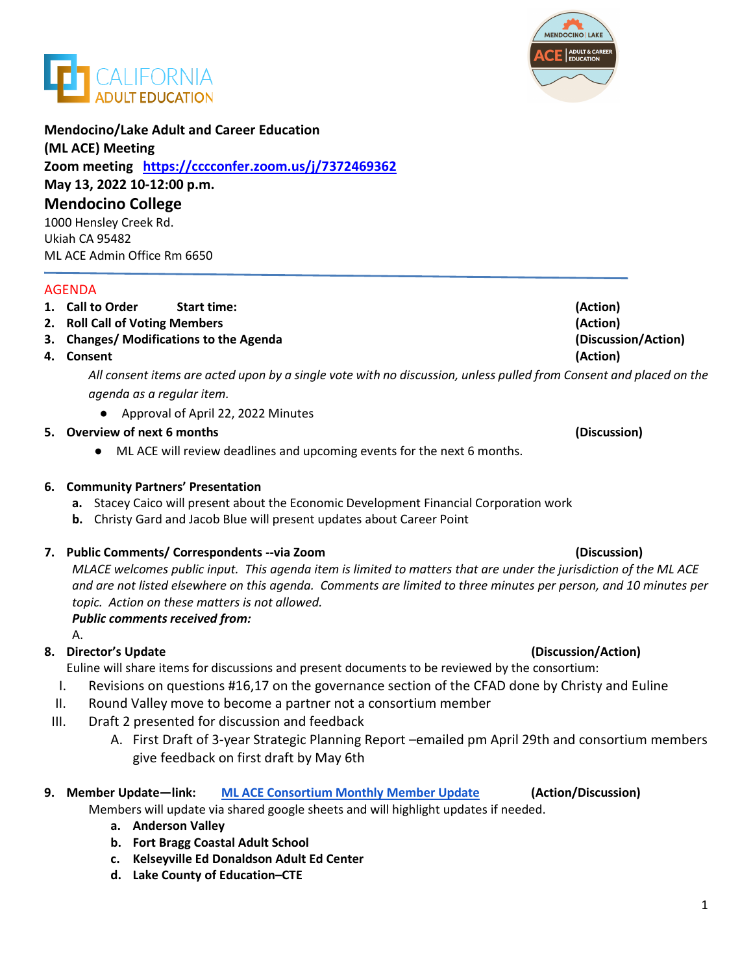



# **Mendocino/Lake Adult and Career Education**

#### **(ML ACE) Meeting**

**Zoom meeting <https://cccconfer.zoom.us/j/7372469362> May 13, 2022 10-12:00 p.m. Mendocino College**  1000 Hensley Creek Rd. Ukiah CA 95482 ML ACE Admin Office Rm 6650

#### AGENDA

# **1. Call to Order Start time: (Action)**

- **2. Roll Call of Voting Members (Action)**
- **3. Changes/ Modifications to the Agenda (Discussion/Action)**
- **4. Consent (Action)**

*All consent items are acted upon by a single vote with no discussion, unless pulled from Consent and placed on the agenda as a regular item.* 

● Approval of April 22, 2022 Minutes

### **5. Overview of next 6 months (Discussion)**

● ML ACE will review deadlines and upcoming events for the next 6 months.

# **6. Community Partners' Presentation**

- **a.** Stacey Caico will present about the Economic Development Financial Corporation work
- **b.** Christy Gard and Jacob Blue will present updates about Career Point

### **7. Public Comments/ Correspondents --via Zoom (Discussion)**

*MLACE welcomes public input. This agenda item is limited to matters that are under the jurisdiction of the ML ACE and are not listed elsewhere on this agenda. Comments are limited to three minutes per person, and 10 minutes per topic. Action on these matters is not allowed.*

### *Public comments received from:*

A.

# **8. Director's Update (Discussion/Action)**

Euline will share items for discussions and present documents to be reviewed by the consortium:

- I. Revisions on questions #16,17 on the governance section of the CFAD done by Christy and Euline
- II. Round Valley move to become a partner not a consortium member
- III. Draft 2 presented for discussion and feedback
	- A. First Draft of 3-year Strategic Planning Report –emailed pm April 29th and consortium members give feedback on first draft by May 6th
- **9. Member Update—link: [ML ACE Consortium Monthly Member Update](https://docs.google.com/spreadsheets/d/1aOAoKdJ3eCD5-J6XmjtZfNGkR08N_wfanOepA1PGL8Q/edit#gid=0) (Action/Discussion)**

Members will update via shared google sheets and will highlight updates if needed.

- **a. Anderson Valley**
- **b. Fort Bragg Coastal Adult School**
- **c. Kelseyville Ed Donaldson Adult Ed Center**
- **d. Lake County of Education–CTE**

# 1